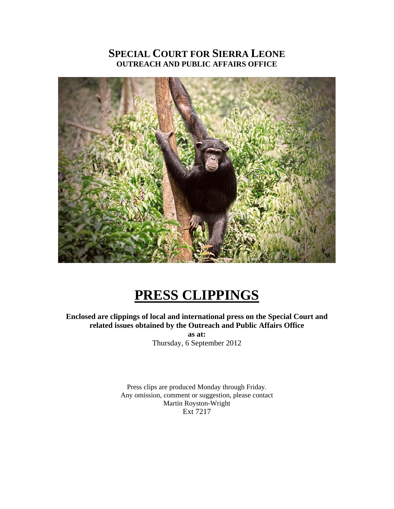### **SPECIAL COURT FOR SIERRA LEONE OUTREACH AND PUBLIC AFFAIRS OFFICE**



## **PRESS CLIPPINGS**

### **Enclosed are clippings of local and international press on the Special Court and related issues obtained by the Outreach and Public Affairs Office**

**as at:**  Thursday, 6 September 2012

Press clips are produced Monday through Friday. Any omission, comment or suggestion, please contact Martin Royston-Wright Ext 7217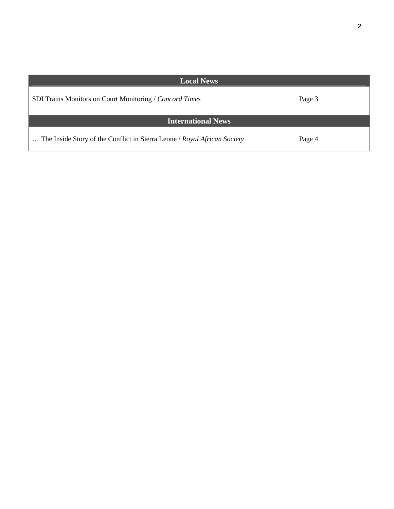| <b>Local News</b>                                                        |        |
|--------------------------------------------------------------------------|--------|
| SDI Trains Monitors on Court Monitoring / Concord Times                  | Page 3 |
| <b>International News</b>                                                |        |
| The Inside Story of the Conflict in Sierra Leone / Royal African Society | Page 4 |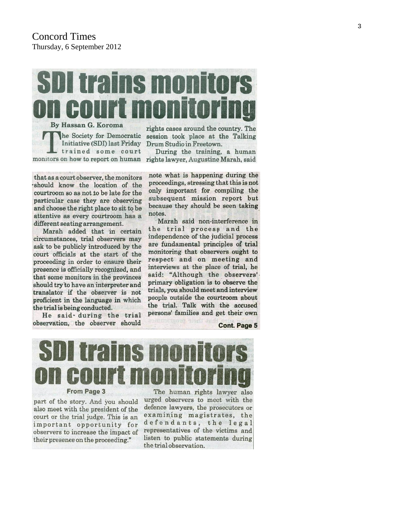# **trains monit** By Hassan G. Koroma

he Society for Democratic Initiative (SDI) last Friday trained some court monitors on how to report on human

rights cases around the country. The session took place at the Talking Drum Studio in Freetown.

During the training, a human rights lawyer, Augustine Marah, said

that as a court observer, the monitors should know the location of the courtroom so as not to be late for the particular case they are observing and choose the right place to sit to be attentive as every courtroom has a different seating arrangement.

Marah added that in certain circumstances, trial observers may ask to be publicly introduced by the court officials at the start of the proceeding in order to ensure their presence is officially recognized, and that some monitors in the provinces should try to have an interpreter and translator if the observer is not proficient in the language in which the trial is being conducted.

He said during the trial observation, the observer should

note what is happening during the proceedings, stressing that this is not only important for compiling the subsequent mission report but because they should be seen taking notes.

Marah said non-interference in the trial process and the independence of the judicial process are fundamental principles of trial monitoring that observers ought to respect and on meeting and interviews at the place of trial, he said: "Although the observers' primary obligation is to observe the trials, you should meet and interview people outside the courtroom about the trial. Talk with the accused persons' families and get their own

mans Quard, Tierti

**Cont. Page 5** 



part of the story. And you should also meet with the president of the court or the trial judge. This is an important opportunity for observers to increase the impact of their presence on the proceeding."

The human rights lawyer also urged observers to meet with the defence lawyers, the prosecutors or examining magistrates, the defendants, the legal representatives of the victims and listen to public statements during the trial observation.